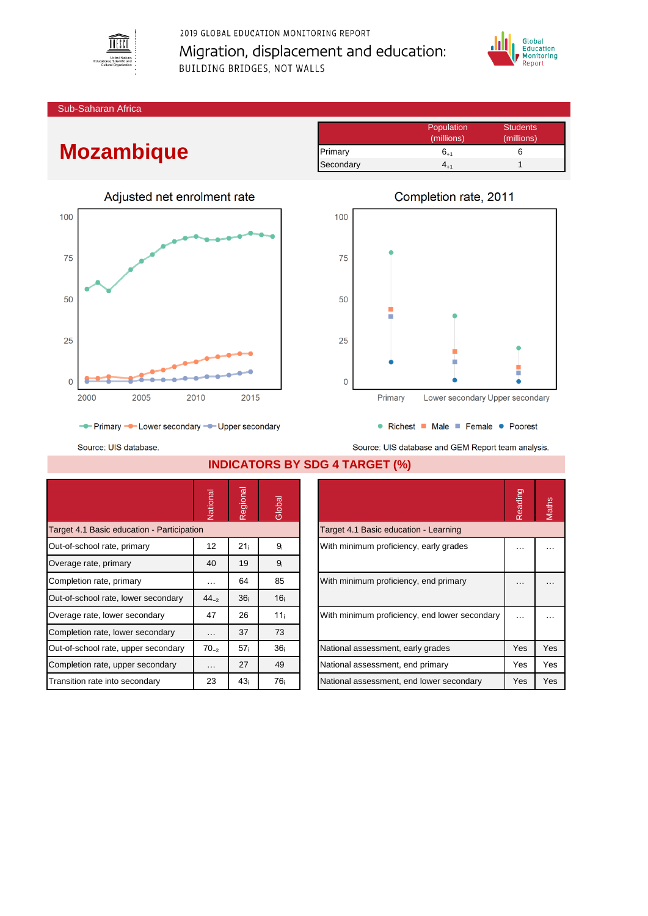

2019 GLOBAL EDUCATION MONITORING REPORT Migration, displacement and education: BUILDING BRIDGES, NOT WALLS



Sub-Saharan Africa

## **Mozambique**

Source: UIS database

|           | Population | <b>Students</b> |
|-----------|------------|-----------------|
|           | (millions) | (millions)      |
| Primary   | $6_{+1}$   |                 |
| Secondary |            |                 |





- Primary - Lower secondary - Upper secondary

Source: UIS database and GEM Report team analysis.

● Richest ■ Male ■ Female ● Poorest

|                                            | Vational  | Regional        | Global                                |  |                                               | Reading  | Maths    |
|--------------------------------------------|-----------|-----------------|---------------------------------------|--|-----------------------------------------------|----------|----------|
| Target 4.1 Basic education - Participation |           |                 | Target 4.1 Basic education - Learning |  |                                               |          |          |
| Out-of-school rate, primary                | 12        | 21 <sub>i</sub> | 9 <sub>i</sub>                        |  | With minimum proficiency, early grades        |          | $\cdots$ |
| Overage rate, primary                      | 40        | 19              | 9 <sub>i</sub>                        |  |                                               |          |          |
| Completion rate, primary                   | $\cdots$  | 64              | 85                                    |  | With minimum proficiency, end primary         | $\cdots$ | .        |
| Out-of-school rate, lower secondary        | $44_{-2}$ | 36 <sub>i</sub> | 16 <sub>i</sub>                       |  |                                               |          |          |
| Overage rate, lower secondary              | 47        | 26              | 11 <sub>i</sub>                       |  | With minimum proficiency, end lower secondary | $\cdots$ | $\cdots$ |
| Completion rate, lower secondary           | $\cdots$  | 37              | 73                                    |  |                                               |          |          |
| Out-of-school rate, upper secondary        | $70_{-2}$ | 57 <sub>i</sub> | 36 <sub>i</sub>                       |  | National assessment, early grades             | Yes      | Yes      |
| Completion rate, upper secondary           | $\cdots$  | 27              | 49                                    |  | National assessment, end primary              | Yes      | Yes      |
| Transition rate into secondary             | 23        | 43 <sub>i</sub> | 76 <sub>i</sub>                       |  | National assessment, end lower secondary      | Yes      | Yes      |

|  | <b>INDICATORS BY SDG 4 TARGET (%)</b> |  |
|--|---------------------------------------|--|
|  |                                       |  |

|                                               | Reading | laths |
|-----------------------------------------------|---------|-------|
| Target 4.1 Basic education - Learning         |         |       |
| With minimum proficiency, early grades        |         |       |
| With minimum proficiency, end primary         |         |       |
| With minimum proficiency, end lower secondary |         |       |
| National assessment, early grades             | Yes     | Yes   |
| National assessment, end primary              | Yes     | Yes   |
| National assessment, end lower secondary      | Yes     | Yes   |